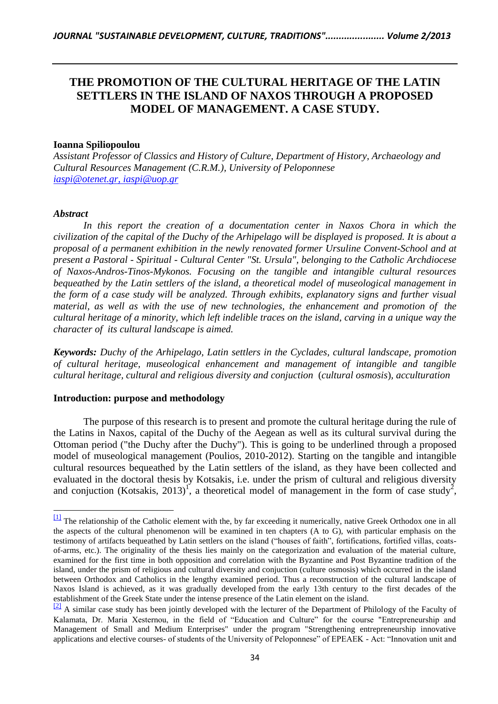# **THE PROMOTION OF THE CULTURAL HERITAGE OF THE LATIN SETTLERS IN THE ISLAND OF NAXOS THROUGH A PROPOSED MODEL OF MANAGEMENT. A CASE STUDY.**

#### **Ioanna Spiliopoulou**

*Assistant Professor of Classics and History of Culture, Department of History, Archaeology and Cultural Resources Management (C.R.M.), University of Peloponnese iaspi[@otenet.gr,](mailto:iaspi@otenet.gr) [iaspi@uop.gr](mailto:iaspi@uop.gr)*

#### *Abstract*

 $\overline{a}$ 

In this report the creation of a documentation center in Naxos Chora in which the *civilization of the capital of the Duchy of the Arhipelago will be displayed is proposed. It is about a proposal of a permanent exhibition in the newly renovated former Ursuline Convent-School and at present a Pastoral - Spiritual* - *Cultural Center "St. Ursula", belonging to the Catholic Archdiocese of Naxos-Andros-Tinos-Mykonos. Focusing on the tangible and intangible cultural resources bequeathed by the Latin settlers of the island, a theoretical model of museological management in the form of a case study will be analyzed. Through exhibits, explanatory signs and further visual material, as well as with the use of new technologies, the enhancement and promotion of the cultural heritage of a minority, which left indelible traces on the island, carving in a unique way the character of its cultural landscape is aimed.*

*Keywords: Duchy of the Arhipelago, Latin settlers in the Cyclades, cultural landscape, promotion of cultural heritage, museological enhancement and management of intangible and tangible cultural heritage, cultural and religious diversity and conjuction* (*cultural osmosis*)*, acculturation*

#### **Introduction: purpose and methodology**

The purpose of this research is to present and promote the cultural heritage during the rule of the Latins in Naxos, capital of the Duchy of the Aegean as well as its cultural survival during the Ottoman period ("the Duchy after the Duchy"). This is going to be underlined through a proposed model of museological management (Poulios, 2010-2012). Starting on the tangible and intangible cultural resources bequeathed by the Latin settlers of the island, as they have been collected and evaluated in the doctoral thesis by Kotsakis, i.e. under the prism of cultural and religious diversity and conjuction (Kotsakis, 2013)<sup>1</sup>, a theoretical model of management in the form of case study<sup>2</sup>,

<sup>&</sup>lt;sup>[\[1\]](http://www.microsofttranslator.com/bv.aspx?from=el&to=en&a=http%3A%2F%2F131.253.14.98%2Fbvsandbox.aspx%3F%26dl%3Del%26from%3Del%26to%3Den%23_ftnref1)</sup> The relationship of the Catholic element with the, by far exceeding it numerically, native Greek Orthodox one in all the aspects of the cultural phenomenon will be examined in ten chapters (A to G), with particular emphasis on the testimony of artifacts bequeathed by Latin settlers on the island ("houses of faith", fortifications, fortified villas, coatsof-arms, etc.). The originality of the thesis lies mainly on the categorization and evaluation of the material culture, examined for the first time in both opposition and correlation with the Byzantine and Post Byzantine tradition of the island, under the prism of religious and cultural diversity and conjuction (culture osmosis) which occurred in the island between Orthodox and Catholics in the lengthy examined period. Thus a reconstruction of the cultural landscape of Naxos Island is achieved, as it was gradually developed from the early 13th century to the first decades of the establishment of the Greek State under the intense presence of the Latin element on the island.

 $\frac{[2]}{[2]}$  $\frac{[2]}{[2]}$  $\frac{[2]}{[2]}$  A similar case study has been jointly developed with the lecturer of the Department of Philology of the Faculty of Kalamata, Dr. Maria Xesternou, in the field of "Education and Culture" for the course "Entrepreneurship and Management of Small and Medium Enterprises" under the program "Strengthening entrepreneurship innovative applications and elective courses- of students of the University of Peloponnese" of EPEAEK - Act: "Innovation unit and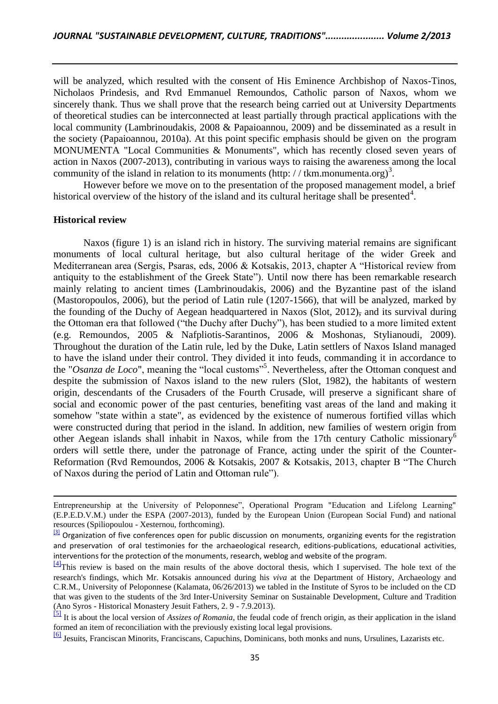will be analyzed, which resulted with the consent of His Eminence Archbishop of Naxos-Tinos, Nicholaos Prindesis, and Rvd Emmanuel Remoundos, Catholic parson of Naxos, whom we sincerely thank. Thus we shall prove that the research being carried out at University Departments of theoretical studies can be interconnected at least partially through practical applications with the local community (Lambrinoudakis, 2008 & Papaioannou, 2009) and be disseminated as a result in the society (Papaioannou, 2010a). At this point specific emphasis should be given on the program MONUMENTA "Local Communities & Monuments", which has recently closed seven years of action in Naxos (2007-2013), contributing in various ways to raising the awareness among the local community of the island in relation to its monuments (http: //tkm.monumenta.org)<sup>3</sup>.

However before we move on to the presentation of the proposed management model, a brief historical overview of the history of the island and its cultural heritage shall be presented<sup>4</sup>.

#### **Historical review**

l

Naxos (figure 1) is an island rich in history. The surviving material remains are significant monuments of local cultural heritage, but also cultural heritage of the wider Greek and Mediterranean area (Sergis, Psaras, eds, 2006 & Kotsakis, 2013, chapter A "Historical review from antiquity to the establishment of the Greek State"). Until now there has been remarkable research mainly relating to ancient times (Lambrinoudakis, 2006) and the Byzantine past of the island (Mastoropoulos, 2006), but the period of Latin rule (1207-1566), that will be analyzed, marked by the founding of the Duchy of Aegean headquartered in Naxos (Slot, 2012), and its survival during the Ottoman era that followed ("the Duchy after Duchy"), has been studied to a more limited extent (e.g. Remoundos, 2005 & Nafpliotis-Sarantinos, 2006 & Moshonas, Stylianoudi, 2009). Throughout the duration of the Latin rule, led by the Duke, Latin settlers of Naxos Island managed to have the island under their control. They divided it into feuds, commanding it in accordance to the "*Osanza de Loco*", meaning the "local customs"<sup>5</sup> . Nevertheless, after the Ottoman conquest and despite the submission of Naxos island to the new rulers (Slot, 1982), the habitants of western origin, descendants of the Crusaders of the Fourth Crusade, will preserve a significant share of social and economic power of the past centuries, benefiting vast areas of the land and making it somehow "state within a state", as evidenced by the existence of numerous fortified villas which were constructed during that period in the island. In addition, new families of western origin from other Aegean islands shall inhabit in Naxos, while from the 17th century Catholic missionary<sup>6</sup> orders will settle there, under the patronage of France, acting under the spirit of the Counter-Reformation (Rvd Remoundos, 2006 & Kotsakis, 2007 & Kotsakis, 2013, chapter B "The Church of Naxos during the period of Latin and Ottoman rule").

Entrepreneurship at the University of Peloponnese", Operational Program "Education and Lifelong Learning" (E.P.E.D.V.M.) under the ESPA (2007-2013), funded by the European Union (European Social Fund) and national resources (Spiliopoulou - Xesternou, forthcoming).

 $\frac{3}{3}$  Organization of five conferences open for public discussion on monuments, organizing events for the registration and preservation of oral testimonies for the archaeological research, editions-publications, educational activities, interventions for the protection of the monuments, research, weblog and website of the program.

[<sup>\[4\]</sup>](http://www.microsofttranslator.com/bv.aspx?from=el&to=en&a=http%3A%2F%2F131.253.14.98%2Fbvsandbox.aspx%3F%26dl%3Del%26from%3Del%26to%3Den%23_ftnref3)This review is based on the main results of the above doctoral thesis, which I supervised. The hole text of the research's findings, which Mr. Kotsakis announced during his *viva* at the Department of History, Archaeology and C.R.M., University of Peloponnese (Kalamata, 06/26/2013) we tabled in the Institute of Syros to be included on the CD that was given to the students of the 3rd Inter-University Seminar on Sustainable Development, Culture and Tradition (Ano Syros - Historical Monastery Jesuit Fathers, 2. 9 - 7.9.2013).

[<sup>\[5\]</sup>](http://www.microsofttranslator.com/bv.aspx?from=el&to=en&a=http%3A%2F%2F131.253.14.98%2Fbvsandbox.aspx%3F%26dl%3Del%26from%3Del%26to%3Den%23_ftnref4) It is about the local version of *Assizes of Romania*, the feudal code of french origin, as their application in the island formed an item of reconciliation with the previously existing local legal provisions.

[<sup>\[6\]</sup>](http://www.microsofttranslator.com/bv.aspx?from=el&to=en&a=http%3A%2F%2F131.253.14.98%2Fbvsandbox.aspx%3F%26dl%3Del%26from%3Del%26to%3Den%23_ftnref5) Jesuits, Franciscan Minorits, Franciscans, Capuchins, Dominicans, both monks and nuns, Ursulines, Lazarists etc.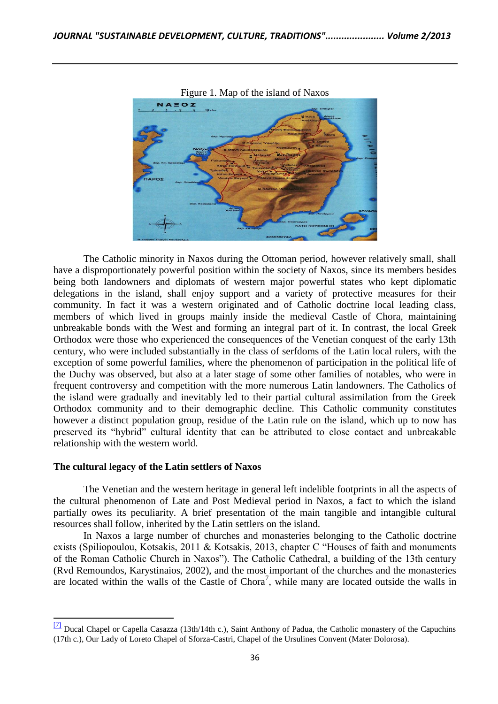



The Catholic minority in Naxos during the Ottoman period, however relatively small, shall have a disproportionately powerful position within the society of Naxos, since its members besides being both landowners and diplomats of western major powerful states who kept diplomatic delegations in the island, shall enjoy support and a variety of protective measures for their community. In fact it was a western originated and of Catholic doctrine local leading class, members of which lived in groups mainly inside the medieval Castle of Chora, maintaining unbreakable bonds with the West and forming an integral part of it. In contrast, the local Greek Orthodox were those who experienced the consequences of the Venetian conquest of the early 13th century, who were included substantially in the class of serfdoms of the Latin local rulers, with the exception of some powerful families, where the phenomenon of participation in the political life of the Duchy was observed, but also at a later stage of some other families of notables, who were in frequent controversy and competition with the more numerous Latin landowners. The Catholics of the island were gradually and inevitably led to their partial cultural assimilation from the Greek Orthodox community and to their demographic decline. This Catholic community constitutes however a distinct population group, residue of the Latin rule on the island, which up to now has preserved its "hybrid" cultural identity that can be attributed to close contact and unbreakable relationship with the western world.

#### **The cultural legacy of the Latin settlers of Naxos**

 $\overline{\phantom{a}}$ 

The Venetian and the western heritage in general left indelible footprints in all the aspects of the cultural phenomenon of Late and Post Medieval period in Naxos, a fact to which the island partially owes its peculiarity. A brief presentation of the main tangible and intangible cultural resources shall follow, inherited by the Latin settlers on the island.

In Naxos a large number of churches and monasteries belonging to the Catholic doctrine exists (Spiliopoulou, Kotsakis, 2011 & Kotsakis, 2013, chapter C "Houses of faith and monuments of the Roman Catholic Church in Naxos"). The Catholic Cathedral, a building of the 13th century (Rvd Remoundos, Karystinaios, 2002), and the most important of the churches and the monasteries are located within the walls of the Castle of Chora<sup>7</sup>, while many are located outside the walls in

<sup>&</sup>lt;sup>[\[7\]](http://www.microsofttranslator.com/bv.aspx?from=el&to=en&a=http%3A%2F%2F131.253.14.98%2Fbvsandbox.aspx%3F%26dl%3Del%26from%3Del%26to%3Den%23_ftnref6)</sup> Ducal Chapel or Capella Casazza (13th/14th c.), Saint Anthony of Padua, the Catholic monastery of the Capuchins (17th c.), Our Lady of Loreto Chapel of Sforza-Castri, Chapel of the Ursulines Convent (Mater Dolorosa).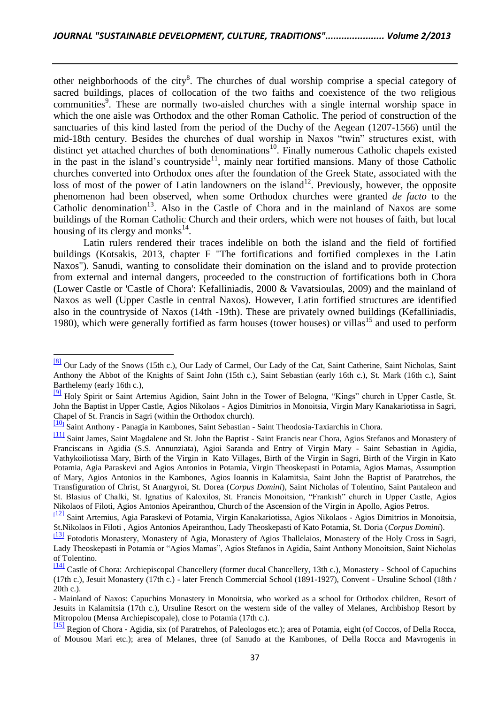other neighborhoods of the city<sup>8</sup>. The churches of dual worship comprise a special category of sacred buildings, places of collocation of the two faiths and coexistence of the two religious communities<sup>9</sup>. These are normally two-aisled churches with a single internal worship space in which the one aisle was Orthodox and the other Roman Catholic. The period of construction of the sanctuaries of this kind lasted from the period of the Duchy of the Aegean (1207-1566) until the mid-18th century. Besides the churches of dual worship in Naxos "twin" structures exist, with distinct yet attached churches of both denominations<sup>10</sup>. Finally numerous Catholic chapels existed in the past in the island's countryside<sup>11</sup>, mainly near fortified mansions. Many of those Catholic churches converted into Orthodox ones after the foundation of the Greek State, associated with the loss of most of the power of Latin landowners on the island<sup>12</sup>. Previously, however, the opposite phenomenon had been observed, when some Orthodox churches were granted *de facto* to the Catholic denomination<sup>13</sup>. Also in the Castle of Chora and in the mainland of Naxos are some buildings of the Roman Catholic Church and their orders, which were not houses of faith, but local housing of its clergy and monks $^{14}$ .

Latin rulers rendered their traces indelible on both the island and the field of fortified buildings (Kotsakis, 2013, chapter F "The fortifications and fortified complexes in the Latin Naxos"). Sanudi, wanting to consolidate their domination on the island and to provide protection from external and internal dangers, proceeded to the construction of fortifications both in Chora (Lower Castle or 'Castle of Chora': Kefalliniadis, 2000 & Vavatsioulas, 2009) and the mainland of Naxos as well (Upper Castle in central Naxos). However, Latin fortified structures are identified also in the countryside of Naxos (14th -19th). These are privately owned buildings (Kefalliniadis, 1980), which were generally fortified as farm houses (tower houses) or villas<sup>15</sup> and used to perform

 $\overline{a}$ 

[<sup>\[8\]</sup>](http://www.microsofttranslator.com/bv.aspx?from=el&to=en&a=http%3A%2F%2F131.253.14.98%2Fbvsandbox.aspx%3F%26dl%3Del%26from%3Del%26to%3Den%23_ftnref7) Our Lady of the Snows (15th c.), Our Lady of Carmel, Our Lady of the Cat, Saint Catherine, Saint Nicholas, Saint Anthony the Abbot of the Knights of Saint John (15th c.), Saint Sebastian (early 16th c.), St. Mark (16th c.), Saint Barthelemy (early 16th c.),

<sup>&</sup>lt;sup>[\[9\]](http://www.microsofttranslator.com/bv.aspx?from=el&to=en&a=http%3A%2F%2F131.253.14.98%2Fbvsandbox.aspx%3F%26dl%3Del%26from%3Del%26to%3Den%23_ftnref8)</sup> Holy Spirit or Saint Artemius Agidion, Saint John in the Tower of Belogna, "Kings" church in Upper Castle, St. John the Baptist in Upper Castle, Agios Nikolaos - Agios Dimitrios in Monoitsia, Virgin Mary Kanakariotissa in Sagri, Chapel of St. Francis in Sagri (within the Orthodox church).

[<sup>\[10</sup>](http://www.microsofttranslator.com/bv.aspx?from=el&to=en&a=http%3A%2F%2F131.253.14.98%2Fbvsandbox.aspx%3F%26dl%3Del%26from%3Del%26to%3Den%23_ftnref9)] Saint Anthony - Panagia in Kambones, Saint Sebastian - Saint Theodosia-Taxiarchis in Chora.

[<sup>\[11\]</sup>](http://www.microsofttranslator.com/bv.aspx?from=el&to=en&a=http%3A%2F%2F131.253.14.98%2Fbvsandbox.aspx%3F%26dl%3Del%26from%3Del%26to%3Den%23_ftnref10) Saint James, Saint Magdalene and St. John the Baptist - Saint Francis near Chora, Agios Stefanos and Monastery of Franciscans in Agidia (S.S. Annunziata), Agioi Saranda and Entry of Virgin Mary - Saint Sebastian in Agidia, Vathykoiliotissa Mary, Birth of the Virgin in Kato Villages, Birth of the Virgin in Sagri, Birth of the Virgin in Kato Potamia, Agia Paraskevi and Agios Antonios in Potamia, Virgin Theoskepasti in Potamia, Agios Mamas, Assumption of Mary, Agios Antonios in the Kambones, Agios Ioannis in Kalamitsia, Saint John the Baptist of Paratrehos, the Transfiguration of Christ, St Anargyroi, St. Dorea (*Corpus Domini*), Saint Nicholas of Tolentino, Saint Pantaleon and St. Blasius of Chalki, St. Ignatius of Kaloxilos, St. Francis Monoitsion, "Frankish" church in Upper Castle, Agios Nikolaos of Filoti, Agios Antonios Apeiranthou, Church of the Ascension of the Virgin in Apollo, Agios Petros.

<sup>&</sup>lt;sup>[[12\]](http://www.microsofttranslator.com/bv.aspx?from=el&to=en&a=http%3A%2F%2F131.253.14.98%2Fbvsandbox.aspx%3F%26dl%3Del%26from%3Del%26to%3Den%23_ftnref11)</sup> Saint Artemius, Agia Paraskevi of Potamia, Virgin Kanakariotissa, Agios Nikolaos - Agios Dimitrios in Monoitsia, St.Nikolaos in Filoti , Agios Antonios Apeiranthou, Lady Theoskepasti of Kato Potamia, St. Doria (*Corpus Domini*).

<sup>&</sup>lt;sup>[[13\]](http://www.microsofttranslator.com/bv.aspx?from=el&to=en&a=http%3A%2F%2F131.253.14.98%2Fbvsandbox.aspx%3F%26dl%3Del%26from%3Del%26to%3Den%23_ftnref12)</sup> Fotodotis Monastery, Monastery of Agia, Monastery of Agios Thallelaios, Monastery of the Holy Cross in Sagri, Lady Theoskepasti in Potamia or "Agios Mamas", Agios Stefanos in Agidia, Saint Anthony Monoitsion, Saint Nicholas of Tolentino.

[<sup>\[14\]</sup>](http://www.microsofttranslator.com/bv.aspx?from=el&to=en&a=http%3A%2F%2F131.253.14.98%2Fbvsandbox.aspx%3F%26dl%3Del%26from%3Del%26to%3Den%23_ftnref13) Castle of Chora: Archiepiscopal Chancellery (former ducal Chancellery, 13th c.), Monastery - School of Capuchins (17th c.), Jesuit Monastery (17th c.) - later French Commercial School (1891-1927), Convent - Ursuline School (18th / 20th c.).

<sup>-</sup> Mainland of Naxos: Capuchins Monastery in Monoitsia, who worked as a school for Orthodox children, Resort of Jesuits in Kalamitsia (17th c.), Ursuline Resort on the western side of the valley of Melanes, Archbishop Resort by Mitropolou (Mensa Archiepiscopale), close to Potamia (17th c.).

[<sup>\[15\]</sup>](http://www.microsofttranslator.com/bv.aspx?from=el&to=en&a=http%3A%2F%2F131.253.14.98%2Fbvsandbox.aspx%3F%26dl%3Del%26from%3Del%26to%3Den%23_ftnref14) Region of Chora - Agidia, six (of Paratrehos, of Paleologos etc.); area of Potamia, eight (of Coccos, of Della Rocca, of Mousou Mari etc.); area of Melanes, three (of Sanudo at the Kambones, of Della Rocca and Mavrogenis in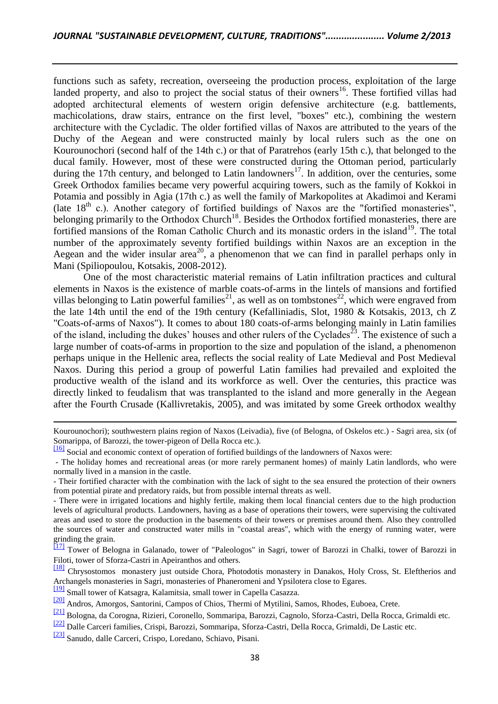functions such as safety, recreation, overseeing the production process, exploitation of the large landed property, and also to project the social status of their owners<sup>16</sup>. These fortified villas had adopted architectural elements of western origin defensive architecture (e.g. battlements, machicolations, draw stairs, entrance on the first level, "boxes" etc.), combining the western architecture with the Cycladic. The older fortified villas of Naxos are attributed to the years of the Duchy of the Aegean and were constructed mainly by local rulers such as the one on Kourounochori (second half of the 14th c.) or that of Paratrehos (early 15th c.), that belonged to the ducal family. However, most of these were constructed during the Ottoman period, particularly during the 17th century, and belonged to Latin landowners<sup>17</sup>. In addition, over the centuries, some Greek Orthodox families became very powerful acquiring towers, such as the family of Kokkoi in Potamia and possibly in Agia (17th c.) as well the family of Markopolites at Akadimoi and Kerami (late  $18<sup>th</sup>$  c.). Another category of fortified buildings of Naxos are the "fortified monasteries", belonging primarily to the Orthodox Church<sup>18</sup>. Besides the Orthodox fortified monasteries, there are fortified mansions of the Roman Catholic Church and its monastic orders in the island<sup>19</sup>. The total number of the approximately seventy fortified buildings within Naxos are an exception in the Aegean and the wider insular  $area^{20}$ , a phenomenon that we can find in parallel perhaps only in Mani (Spiliopoulou, Kotsakis, 2008-2012).

One of the most characteristic material remains of Latin infiltration practices and cultural elements in Naxos is the existence of marble coats-of-arms in the lintels of mansions and fortified villas belonging to Latin powerful families<sup>21</sup>, as well as on tombstones<sup>22</sup>, which were engraved from the late 14th until the end of the 19th century (Kefalliniadis, Slot, 1980 & Kotsakis, 2013, ch Z "Coats-of-arms of Naxos"). It comes to about 180 coats-of-arms belonging mainly in Latin families of the island, including the dukes' houses and other rulers of the Cyclades<sup>23</sup>. The existence of such a large number of coats-of-arms in proportion to the size and population of the island, a phenomenon perhaps unique in the Hellenic area, reflects the social reality of Late Medieval and Post Medieval Naxos. During this period a group of powerful Latin families had prevailed and exploited the productive wealth of the island and its workforce as well. Over the centuries, this practice was directly linked to feudalism that was transplanted to the island and more generally in the Aegean after the Fourth Crusade (Kallivretakis, 2005), and was imitated by some Greek orthodox wealthy

[\[23\]](http://www.microsofttranslator.com/bv.aspx?from=el&to=en&a=http%3A%2F%2F131.253.14.98%2Fbvsandbox.aspx%3F%26dl%3Del%26from%3Del%26to%3Den%23_ftnref22) Sanudo, dalle Carceri, Crispo, Loredano, Schiavo, Pisani.

Kourounochori); southwestern plains region of Naxos (Leivadia), five (of Belogna, of Oskelos etc.) - Sagri area, six (of Somarippa, of Barozzi, the tower-pigeon of Della Rocca etc.).

[<sup>\[16\]</sup>](http://www.microsofttranslator.com/bv.aspx?from=el&to=en&a=http%3A%2F%2F131.253.14.98%2Fbvsandbox.aspx%3F%26dl%3Del%26from%3Del%26to%3Den%23_ftnref15) Social and economic context of operation of fortified buildings of the landowners of Naxos were:

<sup>-</sup> The holiday homes and recreational areas (or more rarely permanent homes) of mainly Latin landlords, who were normally lived in a mansion in the castle.

<sup>-</sup> Their fortified character with the combination with the lack of sight to the sea ensured the protection of their owners from potential pirate and predatory raids, but from possible internal threats as well.

<sup>-</sup> There were in irrigated locations and highly fertile, making them local financial centers due to the high production levels of agricultural products. Landowners, having as a base of operations their towers, were supervising the cultivated areas and used to store the production in the basements of their towers or premises around them. Also they controlled the sources of water and constructed water mills in "coastal areas", which with the energy of running water, were grinding the grain.

[<sup>\[17\]</sup>](http://www.microsofttranslator.com/bv.aspx?from=el&to=en&a=http%3A%2F%2F131.253.14.98%2Fbvsandbox.aspx%3F%26dl%3Del%26from%3Del%26to%3Den%23_ftnref16) Tower of Belogna in Galanado, tower of "Paleologos" in Sagri, tower of Barozzi in Chalki, tower of Barozzi in Filoti, tower of Sforza-Castri in Apeiranthos and others.

[<sup>\[18\]</sup>](http://www.microsofttranslator.com/bv.aspx?from=el&to=en&a=http%3A%2F%2F131.253.14.98%2Fbvsandbox.aspx%3F%26dl%3Del%26from%3Del%26to%3Den%23_ftnref17) Chrysostomos monastery just outside Chora, Photodotis monastery in Danakos, Holy Cross, St. Eleftherios and Archangels monasteries in Sagri, monasteries of Phaneromeni and Ypsilotera close to Egares.

[<sup>\[19\]</sup>](http://www.microsofttranslator.com/bv.aspx?from=el&to=en&a=http%3A%2F%2F131.253.14.98%2Fbvsandbox.aspx%3F%26dl%3Del%26from%3Del%26to%3Den%23_ftnref18) Small tower of Katsagra, Kalamitsia, small tower in Capella Casazza.

[<sup>\[20\]</sup>](http://www.microsofttranslator.com/bv.aspx?from=el&to=en&a=http%3A%2F%2F131.253.14.98%2Fbvsandbox.aspx%3F%26dl%3Del%26from%3Del%26to%3Den%23_ftnref19) Andros, Amorgos, Santorini, Campos of Chios, Thermi of Mytilini, Samos, Rhodes, Euboea, Crete.

[<sup>\[21\]</sup>](http://www.microsofttranslator.com/bv.aspx?from=el&to=en&a=http%3A%2F%2F131.253.14.98%2Fbvsandbox.aspx%3F%26dl%3Del%26from%3Del%26to%3Den%23_ftnref20) Bologna, da Corogna, Rizieri, Coronello, Sommaripa, Barozzi, Cagnolo, Sforza-Castri, Della Rocca, Grimaldi etc.

[<sup>\[22\]</sup>](http://www.microsofttranslator.com/bv.aspx?from=el&to=en&a=http%3A%2F%2F131.253.14.98%2Fbvsandbox.aspx%3F%26dl%3Del%26from%3Del%26to%3Den%23_ftnref21) Dalle Carceri families, Crispi, Barozzi, Sommaripa, Sforza-Castri, Della Rocca, Grimaldi, De Lastic etc.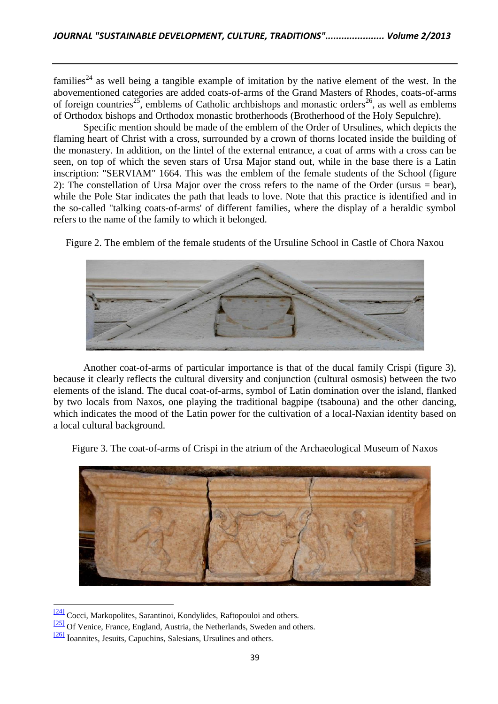families<sup>24</sup> as well being a tangible example of imitation by the native element of the west. In the abovementioned categories are added coats-of-arms of the Grand Masters of Rhodes, coats-of-arms of foreign countries<sup>25</sup>, emblems of Catholic archbishops and monastic orders<sup>26</sup>, as well as emblems of Orthodox bishops and Orthodox monastic brotherhoods (Brotherhood of the Holy Sepulchre).

Specific mention should be made of the emblem of the Order of Ursulines, which depicts the flaming heart of Christ with a cross, surrounded by a crown of thorns located inside the building of the monastery. In addition, on the lintel of the external entrance, a coat of arms with a cross can be seen, on top of which the seven stars of Ursa Major stand out, while in the base there is a Latin inscription: "SERVIAM" 1664. This was the emblem of the female students of the School (figure 2): The constellation of Ursa Major over the cross refers to the name of the Order (ursus = bear), while the Pole Star indicates the path that leads to love. Note that this practice is identified and in the so-called "talking coats-of-arms' of different families, where the display of a heraldic symbol refers to the name of the family to which it belonged.

Figure 2. The emblem of the female students of the Ursuline School in Castle of Chora Naxou



Another coat-of-arms of particular importance is that of the ducal family Crispi (figure 3), because it clearly reflects the cultural diversity and conjunction (cultural osmosis) between the two elements of the island. The ducal coat-of-arms, symbol of Latin domination over the island, flanked by two locals from Naxos, one playing the traditional bagpipe (tsabouna) and the other dancing, which indicates the mood of the Latin power for the cultivation of a local-Naxian identity based on a local cultural background.

Figure 3. The coat-of-arms of Crispi in the atrium of the Archaeological Museum of Naxos



 $\frac{[24]}{[24]}$  $\frac{[24]}{[24]}$  $\frac{[24]}{[24]}$  Cocci, Markopolites, Sarantinoi, Kondylides, Raftopouloi and others.

[<sup>\[25\]</sup>](http://www.microsofttranslator.com/bv.aspx?from=el&to=en&a=http%3A%2F%2F131.253.14.98%2Fbvsandbox.aspx%3F%26dl%3Del%26from%3Del%26to%3Den%23_ftnref24) Of Venice, France, England, Austria, the Netherlands, Sweden and others.

 $\frac{[26]}{[26]}$  $\frac{[26]}{[26]}$  $\frac{[26]}{[26]}$  Ioannites, Jesuits, Capuchins, Salesians, Ursulines and others.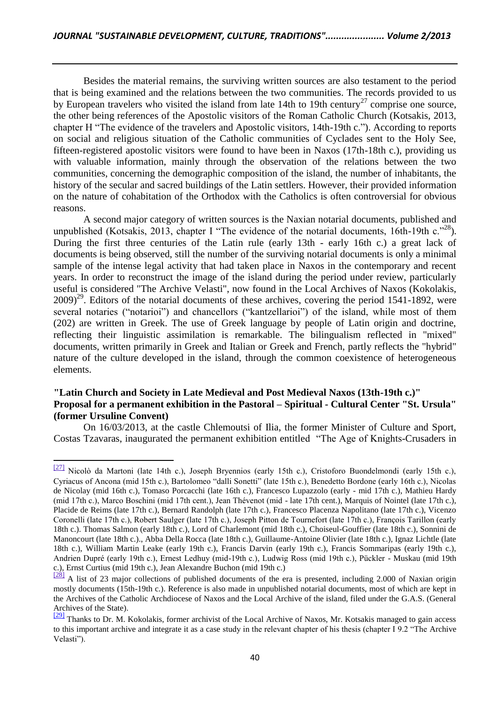Besides the material remains, the surviving written sources are also testament to the period that is being examined and the relations between the two communities. The records provided to us by European travelers who visited the island from late 14th to 19th century<sup>27</sup> comprise one source, the other being references of the Apostolic visitors of the Roman Catholic Church (Kotsakis, 2013, chapter H "The evidence of the travelers and Apostolic visitors, 14th-19th c."). According to reports on social and religious situation of the Catholic communities of Cyclades sent to the Holy See, fifteen-registered apostolic visitors were found to have been in Naxos (17th-18th c.), providing us with valuable information, mainly through the observation of the relations between the two communities, concerning the demographic composition of the island, the number of inhabitants, the history of the secular and sacred buildings of the Latin settlers. However, their provided information on the nature of cohabitation of the Orthodox with the Catholics is often controversial for obvious reasons.

A second major category of written sources is the Naxian notarial documents, published and unpublished (Kotsakis, 2013, chapter I "The evidence of the notarial documents, 16th-19th c. $^{28}$ ). During the first three centuries of the Latin rule (early 13th - early 16th c.) a great lack of documents is being observed, still the number of the surviving notarial documents is only a minimal sample of the intense legal activity that had taken place in Naxos in the contemporary and recent years. In order to reconstruct the image of the island during the period under review, particularly useful is considered "The Archive Velasti", now found in the Local Archives of Naxos (Kokolakis,  $2009<sup>29</sup>$ . Editors of the notarial documents of these archives, covering the period 1541-1892, were several notaries ("notarioi") and chancellors ("kantzellarioi") of the island, while most of them (202) are written in Greek. The use of Greek language by people of Latin origin and doctrine, reflecting their linguistic assimilation is remarkable. The bilingualism reflected in "mixed" documents, written primarily in Greek and Italian or Greek and French, partly reflects the "hybrid" nature of the culture developed in the island, through the common coexistence of heterogeneous elements.

## **"Latin Church and Society in Late Medieval and Post Medieval Naxos (13th-19th c.)" Proposal for a permanent exhibition in the Pastoral – Spiritual - Cultural Center "St. Ursula" (former Ursuline Convent)**

On 16/03/2013, at the castle Chlemoutsi of Ilia, the former Minister of Culture and Sport, Costas Tzavaras, inaugurated the permanent exhibition entitled "The Age of Knights-Crusaders in

 $\frac{[27]}{[27]}$  Nicolò da Martoni (late 14th c.), Joseph Bryennios (early 15th c.), Cristoforo Buondelmondi (early 15th c.), Cyriacus of Ancona (mid 15th c.), Bartolomeo "dalli Sonetti" (late 15th c.), Benedetto Bordone (early 16th c.), Nicolas de Nicolay (mid 16th c.), Tomaso Porcacchi (late 16th c.), Francesco Lupazzolo (early - mid 17th c.), Mathieu Hardy (mid 17th c.), Marco Boschini (mid 17th cent.), Jean Thévenot (mid - late 17th cent.), Marquis of Nointel (late 17th c.), Placide de Reims (late 17th c.), Bernard Randolph (late 17th c.), Francesco Placenza Napolitano (late 17th c.), Vicenzo Coronelli (late 17th c.), Robert Saulger (late 17th c.), Joseph Pitton de Tournefort (late 17th c.), François Tarillon (early 18th c.). Thomas Salmon (early 18th c.), Lord of Charlemont (mid 18th c.), Choiseul-Gouffier (late 18th c.), Sonnini de Manoncourt (late 18th c.)., Abba Della Rocca (late 18th c.), Guillaume-Antoine Olivier (late 18th c.), Ignaz Lichtle (late 18th c.), William Martin Leake (early 19th c.), Francis Darvin (early 19th c.), Francis Sommaripas (early 19th c.), Andrien Dupré (early 19th c.), Ernest Ledhuy (mid-19th c.), Ludwig Ross (mid 19th c.), Pückler - Muskau (mid 19th c.), Ernst Curtius (mid 19th c.), Jean Alexandre Buchon (mid 19th c.)

 $\frac{[28]}{[28]}$  A list of 23 major collections of published documents of the era is presented, including 2.000 of Naxian origin mostly documents (15th-19th c.). Reference is also made in unpublished notarial documents, most of which are kept in the Archives of the Catholic Archdiocese of Naxos and the Local Archive of the island, filed under the G.A.S. (General Archives of the State).

 $\frac{[29]}{[29]}$  $\frac{[29]}{[29]}$  $\frac{[29]}{[29]}$  Thanks to Dr. M. Kokolakis, former archivist of the Local Archive of Naxos, Mr. Kotsakis managed to gain access to this important archive and integrate it as a case study in the relevant chapter of his thesis (chapter I 9.2 "The Archive Velasti").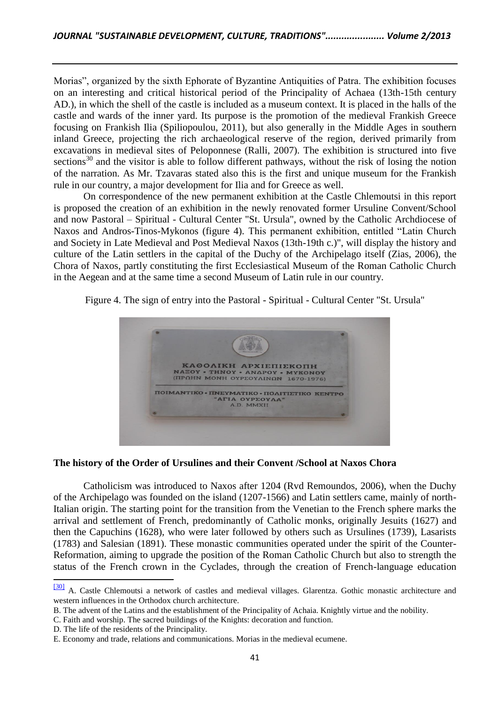Morias", organized by the sixth Ephorate of Byzantine Antiquities of Patra. The exhibition focuses on an interesting and critical historical period of the Principality of Achaea (13th-15th century AD.), in which the shell of the castle is included as a museum context. It is placed in the halls of the castle and wards of the inner yard. Its purpose is the promotion of the medieval Frankish Greece focusing on Frankish Ilia (Spiliopoulou, 2011), but also generally in the Middle Ages in southern inland Greece, projecting the rich archaeological reserve of the region, derived primarily from excavations in medieval sites of Peloponnese (Ralli, 2007). The exhibition is structured into five sections<sup>30</sup> and the visitor is able to follow different pathways, without the risk of losing the notion of the narration. As Mr. Tzavaras stated also this is the first and unique museum for the Frankish rule in our country, a major development for Ilia and for Greece as well.

On correspondence of the new permanent exhibition at the Castle Chlemoutsi in this report is proposed the creation of an exhibition in the newly renovated former Ursuline Convent/School and now Pastoral – Spiritual - Cultural Center "St. Ursula", owned by the Catholic Archdiocese of Naxos and Andros-Tinos-Mykonos (figure 4). This permanent exhibition, entitled "Latin Church and Society in Late Medieval and Post Medieval Naxos (13th-19th c.)", will display the history and culture of the Latin settlers in the capital of the Duchy of the Archipelago itself (Zias, 2006), the Chora of Naxos, partly constituting the first Ecclesiastical Museum of the Roman Catholic Church in the Aegean and at the same time a second Museum of Latin rule in our country.

Figure 4. The sign of entry into the Pastoral - Spiritual - Cultural Center "St. Ursula"



#### **The history of the Order of Ursulines and their Convent /School at Naxos Chora**

Catholicism was introduced to Naxos after 1204 (Rvd Remoundos, 2006), when the Duchy of the Archipelago was founded on the island (1207-1566) and Latin settlers came, mainly of north-Italian origin. The starting point for the transition from the Venetian to the French sphere marks the arrival and settlement of French, predominantly of Catholic monks, originally Jesuits (1627) and then the Capuchins (1628), who were later followed by others such as Ursulines (1739), Lasarists (1783) and Salesian (1891). These monastic communities operated under the spirit of the Counter-Reformation, aiming to upgrade the position of the Roman Catholic Church but also to strength the status of the French crown in the Cyclades, through the creation of French-language education

C. Faith and worship. The sacred buildings of the Knights: decoration and function.

 $\overline{a}$ 

[<sup>\[30\]</sup>](http://www.microsofttranslator.com/bv.aspx?from=el&to=en&a=http%3A%2F%2F131.253.14.98%2Fbvsandbox.aspx%3F%26dl%3Del%26from%3Del%26to%3Den%23_ftnref29) A. Castle Chlemoutsi a network of castles and medieval villages. Glarentza. Gothic monastic architecture and western influences in the Orthodox church architecture.

B. The advent of the Latins and the establishment of the Principality of Achaia. Knightly virtue and the nobility.

D. The life of the residents of the Principality.

E. Economy and trade, relations and communications. Morias in the medieval ecumene.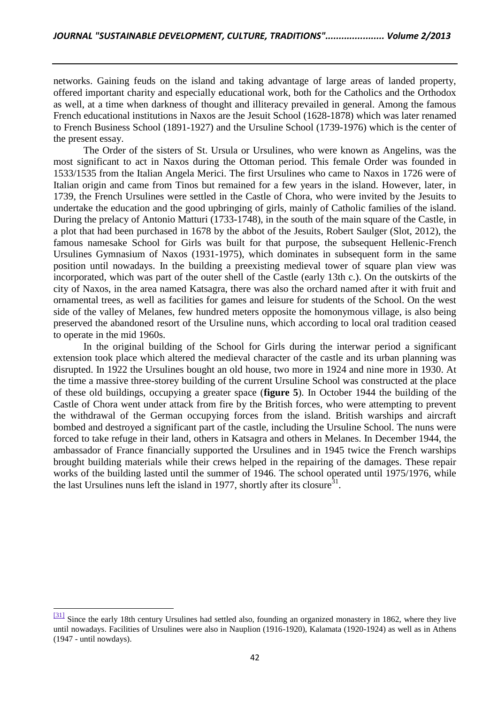networks. Gaining feuds on the island and taking advantage of large areas of landed property, offered important charity and especially educational work, both for the Catholics and the Orthodox as well, at a time when darkness of thought and illiteracy prevailed in general. Among the famous French educational institutions in Naxos are the Jesuit School (1628-1878) which was later renamed to French Business School (1891-1927) and the Ursuline School (1739-1976) which is the center of the present essay.

The Order of the sisters of St. Ursula or Ursulines, who were known as Angelins, was the most significant to act in Naxos during the Ottoman period. This female Order was founded in 1533/1535 from the Italian Angela Merici. The first Ursulines who came to Naxos in 1726 were of Italian origin and came from Tinos but remained for a few years in the island. However, later, in 1739, the French Ursulines were settled in the Castle of Chora, who were invited by the Jesuits to undertake the education and the good upbringing of girls, mainly of Catholic families of the island. During the prelacy of Antonio Matturi (1733-1748), in the south of the main square of the Castle, in a plot that had been purchased in 1678 by the abbot of the Jesuits, Robert Saulger (Slot, 2012), the famous namesake School for Girls was built for that purpose, the subsequent Hellenic-French Ursulines Gymnasium of Naxos (1931-1975), which dominates in subsequent form in the same position until nowadays. In the building a preexisting medieval tower of square plan view was incorporated, which was part of the outer shell of the Castle (early 13th c.). On the outskirts of the city of Naxos, in the area named Katsagra, there was also the orchard named after it with fruit and ornamental trees, as well as facilities for games and leisure for students of the School. On the west side of the valley of Melanes, few hundred meters opposite the homonymous village, is also being preserved the abandoned resort of the Ursuline nuns, which according to local oral tradition ceased to operate in the mid 1960s.

In the original building of the School for Girls during the interwar period a significant extension took place which altered the medieval character of the castle and its urban planning was disrupted. In 1922 the Ursulines bought an old house, two more in 1924 and nine more in 1930. At the time a massive three-storey building of the current Ursuline School was constructed at the place of these old buildings, occupying a greater space (**figure 5**). In October 1944 the building of the Castle of Chora went under attack from fire by the British forces, who were attempting to prevent the withdrawal of the German occupying forces from the island. British warships and aircraft bombed and destroyed a significant part of the castle, including the Ursuline School. The nuns were forced to take refuge in their land, others in Katsagra and others in Melanes. In December 1944, the ambassador of France financially supported the Ursulines and in 1945 twice the French warships brought building materials while their crews helped in the repairing of the damages. These repair works of the building lasted until the summer of 1946. The school operated until 1975/1976, while the last Ursulines nuns left the island in 1977, shortly after its closure<sup>31</sup>.

<sup>&</sup>lt;sup>[31]</sup> Since the early 18th century Ursulines had settled also, founding an organized monastery in 1862, where they live until nowadays. Facilities of Ursulines were also in Nauplion (1916-1920), Kalamata (1920-1924) as well as in Athens (1947 - until nowdays).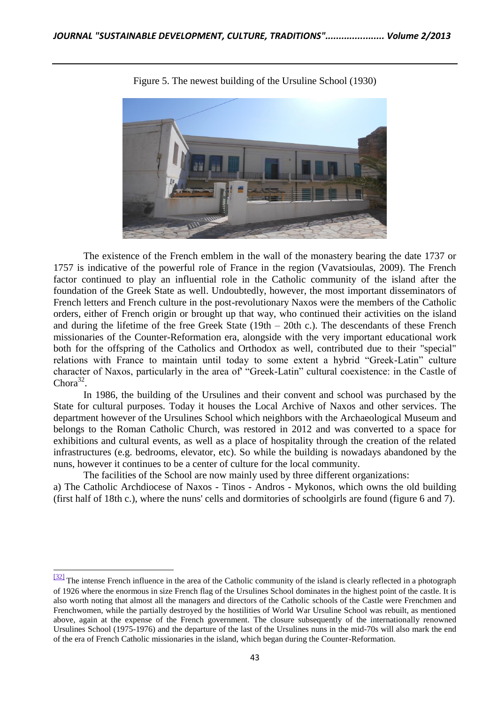

Figure 5. The newest building of the Ursuline School (1930)

The existence of the French emblem in the wall of the monastery bearing the date 1737 or 1757 is indicative of the powerful role of France in the region (Vavatsioulas, 2009). The French factor continued to play an influential role in the Catholic community of the island after the foundation of the Greek State as well. Undoubtedly, however, the most important disseminators of French letters and French culture in the post-revolutionary Naxos were the members of the Catholic orders, either of French origin or brought up that way, who continued their activities on the island and during the lifetime of the free Greek State (19th – 20th c.). The descendants of these French missionaries of the Counter-Reformation era, alongside with the very important educational work both for the offspring of the Catholics and Orthodox as well, contributed due to their "special" relations with France to maintain until today to some extent a hybrid "Greek-Latin" culture character of Naxos, particularly in the area of' "Greek-Latin" cultural coexistence: in the Castle of Chora<sup>32</sup>.

In 1986, the building of the Ursulines and their convent and school was purchased by the State for cultural purposes. Today it houses the Local Archive of Naxos and other services. The department however of the Ursulines School which neighbors with the Archaeological Museum and belongs to the Roman Catholic Church, was restored in 2012 and was converted to a space for exhibitions and cultural events, as well as a place of hospitality through the creation of the related infrastructures (e.g. bedrooms, elevator, etc). So while the building is nowadays abandoned by the nuns, however it continues to be a center of culture for the local community.

The facilities of the School are now mainly used by three different organizations:

l

a) The Catholic Archdiocese of Naxos - Tinos - Andros - Mykonos, which owns the old building (first half of 18th c.), where the nuns' cells and dormitories of schoolgirls are found (figure 6 and 7).

 $\frac{32}{2}$  The intense French influence in the area of the Catholic community of the island is clearly reflected in a photograph of 1926 where the enormous in size French flag of the Ursulines School dominates in the highest point of the castle. It is also worth noting that almost all the managers and directors of the Catholic schools of the Castle were Frenchmen and Frenchwomen, while the partially destroyed by the hostilities of World War Ursuline School was rebuilt, as mentioned above, again at the expense of the French government. The closure subsequently of the internationally renowned Ursulines School (1975-1976) and the departure of the last of the Ursulines nuns in the mid-70s will also mark the end of the era of French Catholic missionaries in the island, which began during the Counter-Reformation.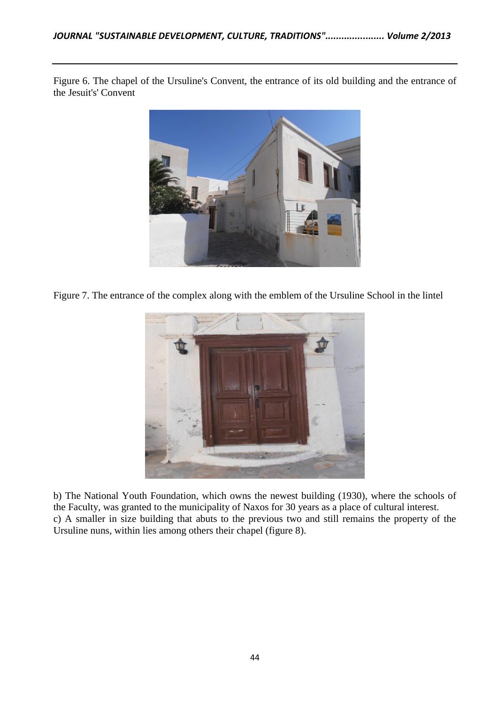Figure 6. The chapel of the Ursuline's Convent, the entrance of its old building and the entrance of the Jesuit's' Convent



Figure 7. The entrance of the complex along with the emblem of the Ursuline School in the lintel



b) The National Youth Foundation, which owns the newest building (1930), where the schools of the Faculty, was granted to the municipality of Naxos for 30 years as a place of cultural interest. c) A smaller in size building that abuts to the previous two and still remains the property of the Ursuline nuns, within lies among others their chapel (figure 8).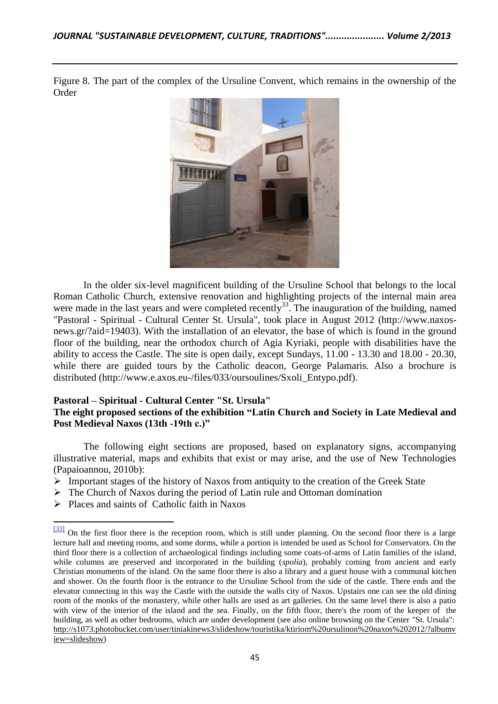Figure 8. The part of the complex of the Ursuline Convent, which remains in the ownership of the Order



In the older six-level magnificent building of the Ursuline School that belongs to the local Roman Catholic Church, extensive renovation and highlighting projects of the internal main area were made in the last years and were completed recently<sup>33</sup>. The inauguration of the building, named "Pastoral - Spiritual - Cultural Center St. Ursula", took place in August 2012 [\(http://www.naxos](http://www.microsofttranslator.com/bv.aspx?from=el&to=en&a=http%3A%2F%2Fwww.naxos-news.gr%2F%3Faid%3D19403)[news.gr/?aid=19403\)](http://www.microsofttranslator.com/bv.aspx?from=el&to=en&a=http%3A%2F%2Fwww.naxos-news.gr%2F%3Faid%3D19403). With the installation of an elevator, the base of which is found in the ground floor of the building, near the orthodox church of Agia Kyriaki, people with disabilities have the ability to access the Castle. The site is open daily, except Sundays, 11.00 - 13.30 and 18.00 - 20.30, while there are guided tours by the Catholic deacon, George Palamaris. Also a brochure is distributed (http://www.e.axos.eu-/files/033/oursoulines/Sxoli\_Entypo.pdf).

# **Pastoral – Spiritual - Cultural Center "St. Ursula"**

## **The eight proposed sections of the exhibition "Latin Church and Society in Late Medieval and Post Medieval Naxos (13th -19th c.)"**

The following eight sections are proposed, based on explanatory signs, accompanying illustrative material, maps and exhibits that exist or may arise, and the use of New Technologies (Papaioannou, 2010b):

- $\triangleright$  Important stages of the history of Naxos from antiquity to the creation of the Greek State
- $\triangleright$  The Church of Naxos during the period of Latin rule and Ottoman domination
- $\triangleright$  Places and saints of Catholic faith in Naxos

 $\frac{331}{231}$  On the first floor there is the reception room, which is still under planning. On the second floor there is a large lecture hall and meeting rooms, and some dorms, while a portion is intended be used as School for Conservators. On the third floor there is a collection of archaeological findings including some coats-of-arms of Latin families of the island, while columns are preserved and incorporated in the building (*spolia*), probably coming from ancient and early Christian monuments of the island. On the same floor there is also a library and a guest house with a communal kitchen and shower. On the fourth floor is the entrance to the Ursuline School from the side of the castle. There ends and the elevator connecting in this way the Castle with the outside the walls city of Naxos. Upstairs one can see the old dining room of the monks of the monastery, while other halls are used as art galleries. On the same level there is also a patio with view of the interior of the island and the sea. Finally, on the fifth floor, there's the room of the keeper of the building, as well as other bedrooms, which are under development (see also online browsing on the Center "St. Ursula": [http://s1073.photobucket.com/user/tiniakinews3/slideshow/touristika/ktiriom%20ursulinon%20naxos%202012/?albumv](http://s1073.photobucket.com/user/tiniakinews3/slideshow/touristika/ktiriom%20ursulinon%20naxos%202012/?albumview=slideshow) [iew=slideshow\)](http://s1073.photobucket.com/user/tiniakinews3/slideshow/touristika/ktiriom%20ursulinon%20naxos%202012/?albumview=slideshow)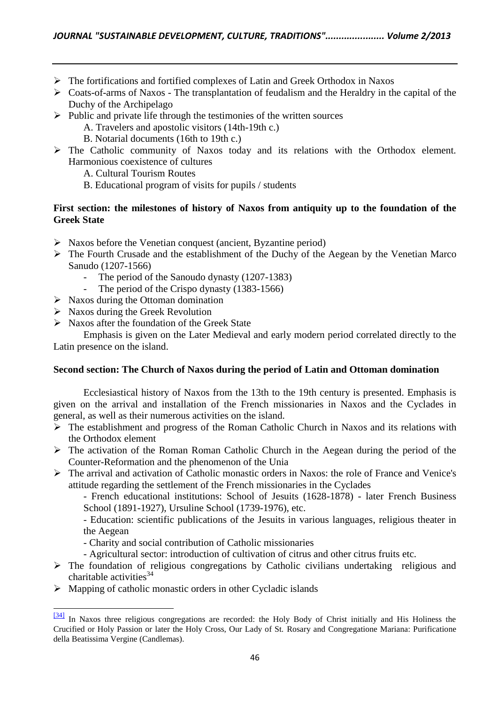- $\triangleright$  The fortifications and fortified complexes of Latin and Greek Orthodox in Naxos
- Coats-of-arms of Naxos The transplantation of feudalism and the Heraldry in the capital of the Duchy of the Archipelago
- $\triangleright$  Public and private life through the testimonies of the written sources
	- A. Travelers and apostolic visitors (14th-19th c.)
	- B. Notarial documents (16th to 19th c.)
- The Catholic community of Naxos today and its relations with the Orthodox element. Harmonious coexistence of cultures
	- A. Cultural Tourism Routes
	- B. Educational program of visits for pupils / students

## First section: the milestones of history of Naxos from antiquity up to the foundation of the **Greek State**

- $\triangleright$  Naxos before the Venetian conquest (ancient, Byzantine period)
- $\triangleright$  The Fourth Crusade and the establishment of the Duchy of the Aegean by the Venetian Marco Sanudo (1207-1566)
	- The period of the Sanoudo dynasty (1207-1383)
	- The period of the Crispo dynasty (1383-1566)
- $\triangleright$  Naxos during the Ottoman domination
- $\triangleright$  Naxos during the Greek Revolution
- $\triangleright$  Naxos after the foundation of the Greek State

Emphasis is given on the Later Medieval and early modern period correlated directly to the Latin presence on the island.

## **Second section: The Church of Naxos during the period of Latin and Ottoman domination**

Ecclesiastical history of Naxos from the 13th to the 19th century is presented. Emphasis is given on the arrival and installation of the French missionaries in Naxos and the Cyclades in general, as well as their numerous activities on the island.

- The establishment and progress of the Roman Catholic Church in Naxos and its relations with the Orthodox element
- $\triangleright$  The activation of the Roman Roman Catholic Church in the Aegean during the period of the Counter-Reformation and the phenomenon of the Unia
- $\triangleright$  The arrival and activation of Catholic monastic orders in Naxos: the role of France and Venice's attitude regarding the settlement of the French missionaries in the Cyclades

- French educational institutions: School of Jesuits (1628-1878) - later French Business School (1891-1927), Ursuline School (1739-1976), etc.

- Education: scientific publications of the Jesuits in various languages, religious theater in the Aegean

- Charity and social contribution of Catholic missionaries
- Agricultural sector: introduction of cultivation of citrus and other citrus fruits etc.
- $\triangleright$  The foundation of religious congregations by Catholic civilians undertaking religious and charitable activities $34$
- $\triangleright$  Mapping of catholic monastic orders in other Cycladic islands

 $\frac{341}{24}$  In Naxos three religious congregations are recorded: the Holy Body of Christ initially and His Holiness the Crucified or Holy Passion or later the Holy Cross, Our Lady of St. Rosary and Congregatione Mariana: Purificatione della Beatissima Vergine (Candlemas).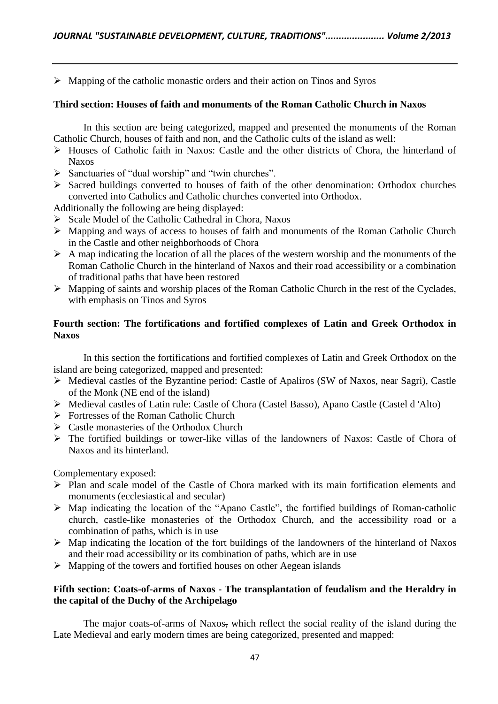$\triangleright$  Mapping of the catholic monastic orders and their action on Tinos and Syros

#### **Third section: Houses of faith and monuments of the Roman Catholic Church in Naxos**

In this section are being categorized, mapped and presented the monuments of the Roman Catholic Church, houses of faith and non, and the Catholic cults of the island as well:

- Houses of Catholic faith in Naxos: Castle and the other districts of Chora, the hinterland of Naxos
- $\triangleright$  Sanctuaries of "dual worship" and "twin churches".
- $\triangleright$  Sacred buildings converted to houses of faith of the other denomination: Orthodox churches converted into Catholics and Catholic churches converted into Orthodox.

Additionally the following are being displayed:

- $\triangleright$  Scale Model of the Catholic Cathedral in Chora, Naxos
- Mapping and ways of access to houses of faith and monuments of the Roman Catholic Church in the Castle and other neighborhoods of Chora
- $\triangleright$  A map indicating the location of all the places of the western worship and the monuments of the Roman Catholic Church in the hinterland of Naxos and their road accessibility or a combination of traditional paths that have been restored
- $\triangleright$  Mapping of saints and worship places of the Roman Catholic Church in the rest of the Cyclades, with emphasis on Tinos and Syros

## **Fourth section: The fortifications and fortified complexes of Latin and Greek Orthodox in Naxos**

In this section the fortifications and fortified complexes of Latin and Greek Orthodox on the island are being categorized, mapped and presented:

- $\triangleright$  Medieval castles of the Byzantine period: Castle of Apaliros (SW of Naxos, near Sagri), Castle of the Monk (NE end of the island)
- Medieval castles of Latin rule: Castle of Chora (Castel Basso), Apano Castle (Castel d 'Alto)
- $\triangleright$  Fortresses of the Roman Catholic Church
- $\triangleright$  Castle monasteries of the Orthodox Church
- The fortified buildings or tower-like villas of the landowners of Naxos: Castle of Chora of Naxos and its hinterland.

Complementary exposed:

- $\triangleright$  Plan and scale model of the Castle of Chora marked with its main fortification elements and monuments (ecclesiastical and secular)
- $\triangleright$  Map indicating the location of the "Apano Castle", the fortified buildings of Roman-catholic church, castle-like monasteries of the Orthodox Church, and the accessibility road or a combination of paths, which is in use
- $\triangleright$  Map indicating the location of the fort buildings of the landowners of the hinterland of Naxos and their road accessibility or its combination of paths, which are in use
- $\triangleright$  Mapping of the towers and fortified houses on other Aegean islands

## **Fifth section: Coats-of-arms of Naxos - The transplantation of feudalism and the Heraldry in the capital of the Duchy of the Archipelago**

The major coats-of-arms of Naxos, which reflect the social reality of the island during the Late Medieval and early modern times are being categorized, presented and mapped: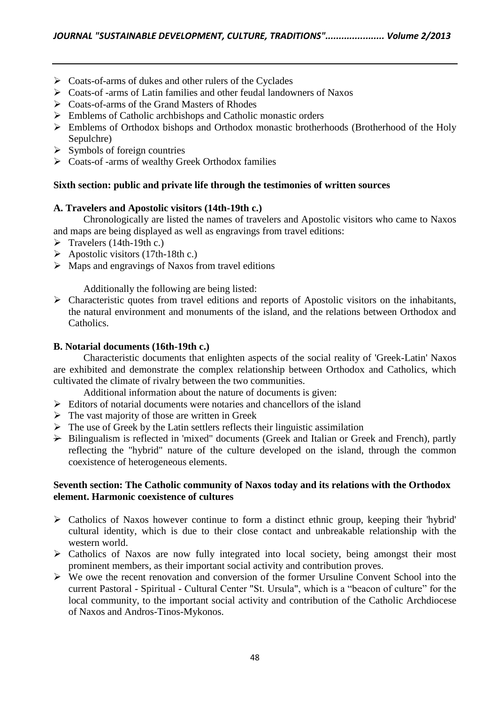- $\triangleright$  Coats-of-arms of dukes and other rulers of the Cyclades
- Coats-of -arms of Latin families and other feudal landowners of Naxos
- $\triangleright$  Coats-of-arms of the Grand Masters of Rhodes
- $\triangleright$  Emblems of Catholic archbishops and Catholic monastic orders
- Emblems of Orthodox bishops and Orthodox monastic brotherhoods (Brotherhood of the Holy Sepulchre)
- $\triangleright$  Symbols of foreign countries
- $\triangleright$  Coats-of -arms of wealthy Greek Orthodox families

## **Sixth section: public and private life through the testimonies of written sources**

## **A. Travelers and Apostolic visitors (14th-19th c.)**

Chronologically are listed the names of travelers and Apostolic visitors who came to Naxos and maps are being displayed as well as engravings from travel editions:

- $\triangleright$  Travelers (14th-19th c.)
- $\triangleright$  Apostolic visitors (17th-18th c.)
- $\triangleright$  Maps and engravings of Naxos from travel editions

Additionally the following are being listed:

 $\triangleright$  Characteristic quotes from travel editions and reports of Apostolic visitors on the inhabitants, the natural environment and monuments of the island, and the relations between Orthodox and Catholics.

## **B. Notarial documents (16th-19th c.)**

Characteristic documents that enlighten aspects of the social reality of 'Greek-Latin' Naxos are exhibited and demonstrate the complex relationship between Orthodox and Catholics, which cultivated the climate of rivalry between the two communities.

Additional information about the nature of documents is given:

- $\triangleright$  Editors of notarial documents were notaries and chancellors of the island
- $\triangleright$  The vast majority of those are written in Greek
- $\triangleright$  The use of Greek by the Latin settlers reflects their linguistic assimilation
- $\rightarrow$  Bilingualism is reflected in 'mixed" documents (Greek and Italian or Greek and French), partly reflecting the "hybrid" nature of the culture developed on the island, through the common coexistence of heterogeneous elements.

## **Seventh section: The Catholic community of Naxos today and its relations with the Orthodox element. Harmonic coexistence of cultures**

- $\triangleright$  Catholics of Naxos however continue to form a distinct ethnic group, keeping their 'hybrid' cultural identity, which is due to their close contact and unbreakable relationship with the western world.
- $\triangleright$  Catholics of Naxos are now fully integrated into local society, being amongst their most prominent members, as their important social activity and contribution proves.
- $\triangleright$  We owe the recent renovation and conversion of the former Ursuline Convent School into the current Pastoral - Spiritual - Cultural Center "St. Ursula", which is a "beacon of culture" for the local community, to the important social activity and contribution of the Catholic Archdiocese of Naxos and Andros-Tinos-Mykonos.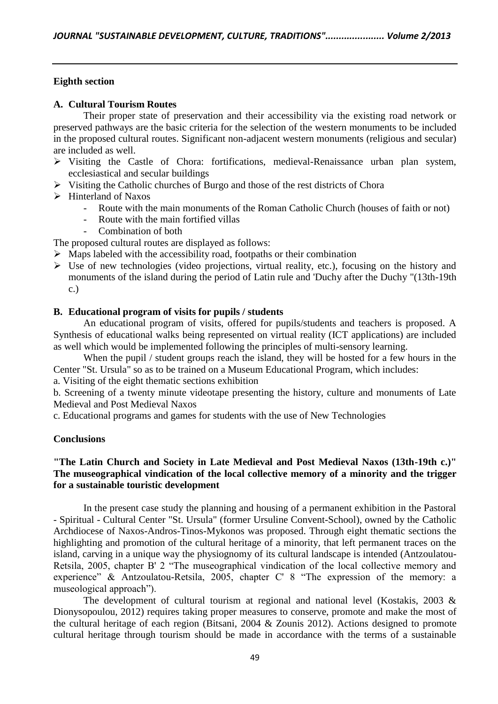## **Eighth section**

#### **A. Cultural Tourism Routes**

Their proper state of preservation and their accessibility via the existing road network or preserved pathways are the basic criteria for the selection of the western monuments to be included in the proposed cultural routes. Significant non-adjacent western monuments (religious and secular) are included as well.

- $\triangleright$  Visiting the Castle of Chora: fortifications, medieval-Renaissance urban plan system, ecclesiastical and secular buildings
- $\triangleright$  Visiting the Catholic churches of Burgo and those of the rest districts of Chora
- $\triangleright$  Hinterland of Naxos
	- Route with the main monuments of the Roman Catholic Church (houses of faith or not)
	- Route with the main fortified villas
	- Combination of both

The proposed cultural routes are displayed as follows:

- $\triangleright$  Maps labeled with the accessibility road, footpaths or their combination
- $\triangleright$  Use of new technologies (video projections, virtual reality, etc.), focusing on the history and monuments of the island during the period of Latin rule and 'Duchy after the Duchy "(13th-19th c.)

## **B. Educational program of visits for pupils / students**

An educational program of visits, offered for pupils/students and teachers is proposed. A Synthesis of educational walks being represented on virtual reality (ICT applications) are included as well which would be implemented following the principles of multi-sensory learning.

When the pupil / student groups reach the island, they will be hosted for a few hours in the Center "St. Ursula" so as to be trained on a Museum Educational Program, which includes:

a. Visiting of the eight thematic sections exhibition

b. Screening of a twenty minute videotape presenting the history, culture and monuments of Late Medieval and Post Medieval Naxos

c. Educational programs and games for students with the use of New Technologies

#### **Conclusions**

## **"The Latin Church and Society in Late Medieval and Post Medieval Naxos (13th-19th c.)" The museographical vindication of the local collective memory of a minority and the trigger for a sustainable touristic development**

In the present case study the planning and housing of a permanent exhibition in the Pastoral - Spiritual - Cultural Center "St. Ursula" (former Ursuline Convent-School), owned by the Catholic Archdiocese of Naxos-Andros-Tinos-Mykonos was proposed. Through eight thematic sections the highlighting and promotion of the cultural heritage of a minority, that left permanent traces on the island, carving in a unique way the physiognomy of its cultural landscape is intended (Antzoulatou-Retsila, 2005, chapter B' 2 "The museographical vindication of the local collective memory and experience" & Antzoulatou-Retsila, 2005, chapter C' 8 "The expression of the memory: a museological approach").

The development of cultural tourism at regional and national level (Kostakis, 2003 & Dionysopoulou, 2012) requires taking proper measures to conserve, promote and make the most of the cultural heritage of each region (Bitsani, 2004 & Zounis 2012). Actions designed to promote cultural heritage through tourism should be made in accordance with the terms of a sustainable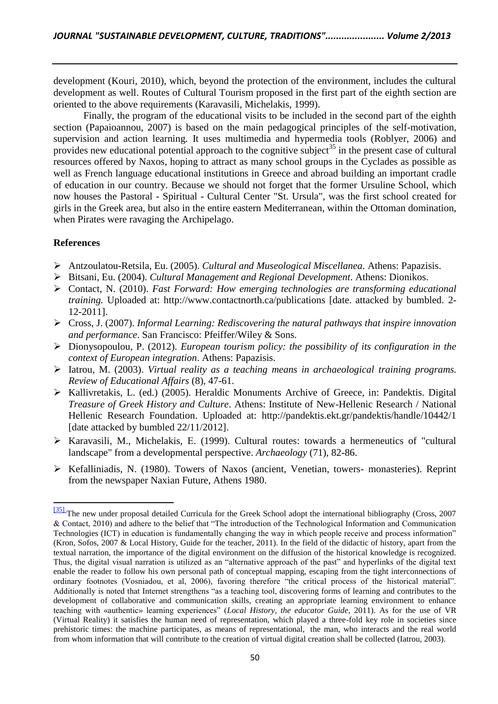development (Kouri, 2010), which, beyond the protection of the environment, includes the cultural development as well. Routes of Cultural Tourism proposed in the first part of the eighth section are oriented to the above requirements (Karavasili, Michelakis, 1999).

Finally, the program of the educational visits to be included in the second part of the eighth section (Papaioannou, 2007) is based on the main pedagogical principles of the self-motivation, supervision and action learning. It uses multimedia and hypermedia tools (Roblyer, 2006) and provides new educational potential approach to the cognitive subject<sup>35</sup> in the present case of cultural resources offered by Naxos, hoping to attract as many school groups in the Cyclades as possible as well as French language educational institutions in Greece and abroad building an important cradle of education in our country. Because we should not forget that the former Ursuline School, which now houses the Pastoral - Spiritual - Cultural Center "St. Ursula", was the first school created for girls in the Greek area, but also in the entire eastern Mediterranean, within the Ottoman domination, when Pirates were ravaging the Archipelago.

## **References**

- Antzoulatou-Retsila, Eu. (2005). *Cultural and Museological Miscellanea*. Athens: Papazisis.
- Bitsani, Eu. (2004). *Cultural Management and Regional Development*. Athens: Dionikos.
- Contact, N. (2010). *Fast Forward: How emerging technologies are transforming educational training.* Uploaded at: http://www.contactnorth.ca/publications [date. attacked by bumbled. 2- 12-2011].
- Cross, J. (2007). *Informal Learning: Rediscovering the natural pathways that inspire innovation and performance*. San Francisco: Pfeiffer/Wiley & Sons.
- Dionysopoulou, P. (2012). *European tourism policy: the possibility of its configuration in the context of European integration*. Athens: Papazisis.
- Iatrou, M. (2003). *Virtual reality as a teaching means in archaeological training programs. Review of Educational Affairs* (8), 47-61.
- Kallivretakis, L. (ed.) (2005). Heraldic Monuments Archive of Greece, in: Pandektis. Digital *Treasure of Greek History and Culture*. Athens: Institute of New-Hellenic Research / National Hellenic Research Foundation. Uploaded at: http://pandektis.ekt.gr/pandektis/handle/10442/1 [date attacked by bumbled 22/11/2012].
- Karavasili, M., Michelakis, Ε. (1999). Cultural routes: towards a hermeneutics of "cultural landscape" from a developmental perspective. *Archaeology* (71), 82-86.
- Kefalliniadis, N. (1980). Towers of Naxos (ancient, Venetian, towers- monasteries). Reprint from the newspaper Naxian Future, Athens 1980.

[<sup>\[35\]</sup>](http://www.microsofttranslator.com/bv.aspx?from=el&to=en&a=http%3A%2F%2F131.253.14.98%2Fbvsandbox.aspx%3F%26dl%3Del%26from%3Del%26to%3Den%23_ftnref34) The new under proposal detailed Curricula for the Greek School adopt the international bibliography (Cross, 2007 & Contact, 2010) and adhere to the belief that "The introduction of the Technological Information and Communication Technologies (ICT) in education is fundamentally changing the way in which people receive and process information" (Kron, Sofos, 2007 & Local History, Guide for the teacher, 2011). In the field of the didactic of history, apart from the textual narration, the importance of the digital environment on the diffusion of the historical knowledge is recognized. Thus, the digital visual narration is utilized as an "alternative approach of the past" and hyperlinks of the digital text enable the reader to follow his own personal path of conceptual mapping, escaping from the tight interconnections of ordinary footnotes (Vosniadou, et al, 2006), favoring therefore "the critical process of the historical material". Additionally is noted that Internet strengthens "as a teaching tool, discovering forms of learning and contributes to the development of collaborative and communication skills, creating an appropriate learning environment to enhance teaching with «authentic» learning experiences" (*Local History, the educator Guide*, 2011). As for the use of VR (Virtual Reality) it satisfies the human need of representation, which played a three-fold key role in societies since prehistoric times: the machine participates, as means of representational, the man, who interacts and the real world from whom information that will contribute to the creation of virtual digital creation shall be collected (Iatrou, 2003).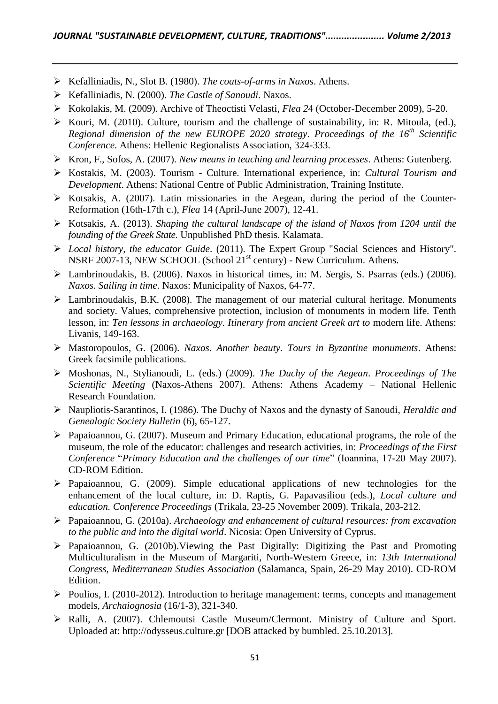- Kefalliniadis, N., Slot B. (1980). *The coats-of-arms in Naxos*. Athens.
- Kefalliniadis, N. (2000). *The Castle of Sanoudi*. Naxos.
- Kokolakis, M. (2009). Archive of Theoctisti Velasti, *Flea 2*4 (October-December 2009), 5-20.
- $\triangleright$  Kouri, M. (2010). Culture, tourism and the challenge of sustainability, in: R. Mitoula, (ed.), *Regional dimension of the new EUROPE 2020 strategy*. *Proceedings of the 16th Scientific Conference*. Athens: Hellenic Regionalists Association, 324-333.
- Kron, F., Sofos, A. (2007). *New means in teaching and learning processes*. Athens: Gutenberg.
- Kostakis, M. (2003). Tourism Culture. International experience, in: *Cultural Tourism and Development*. Athens: National Centre of Public Administration, Training Institute.
- $\triangleright$  Kotsakis, A. (2007). Latin missionaries in the Aegean, during the period of the Counter-Reformation (16th-17th c.), *Flea* 14 (April-June 2007), 12-41.
- Kotsakis, A. (2013). *Shaping the cultural landscape of the island of Naxos from 1204 until the founding of the Greek State.* Unpublished PhD thesis. Kalamata.
- *Local history, the educator Guide*. (2011). The Expert Group "Social Sciences and History". NSRF 2007-13, NEW SCHOOL (School  $21<sup>st</sup>$  century) - New Curriculum. Athens.
- Lambrinoudakis, B. (2006). Naxos in historical times, in: M. *S*ergis, S. Psarras (eds.) (2006). *Naxos. Sailing in time*. Naxos: Municipality of Naxos, 64-77.
- $\triangleright$  Lambrinoudakis, B.K. (2008). The management of our material cultural heritage. Monuments and society. Values, comprehensive protection, inclusion of monuments in modern life. Tenth lesson, in: Ten lessons in archaeology. Itinerary from ancient Greek art to modern life. Athens: Livanis, 149-163.
- Mastoropoulos, G. (2006). *Naxos. Another beauty. Tours in Byzantine monuments*. Athens: Greek facsimile publications.
- Moshonas, N., Stylianoudi, L. (eds.) (2009). *The Duchy of the Aegean*. *Proceedings of The Scientific Meeting* (Naxos-Athens 2007). Athens: Athens Academy – National Hellenic Research Foundation.
- Naupliotis-Sarantinos, I. (1986). The Duchy of Naxos and the dynasty of Sanoudi, *Heraldic and Genealogic Society Bulletin* (6), 65-127.
- Papaioannou, G. (2007). Museum and Primary Education, educational programs, the role of the museum, the role of the educator: challenges and research activities, in: *Proceedings of the First Conference* "*Primary Education and the challenges of our time*" (Ioannina, 17-20 May 2007). CD-ROM Edition.
- Papaioannou, G. (2009). Simple educational applications of new technologies for the enhancement of the local culture, in: D. Raptis, G. Papavasiliou (eds.), *Local culture and education. Conference Proceedings* (Trikala, 23-25 November 2009). Trikala, 203-212.
- Papaioannou, G. (2010a). *Archaeology and enhancement of cultural resources: from excavation to the public and into the digital world*. Nicosia: Open University of Cyprus.
- $\triangleright$  Papaioannou, G. (2010b). Viewing the Past Digitally: Digitizing the Past and Promoting Multiculturalism in the Museum of Margariti, North-Western Greece, in: *13th International Congress*, *Mediterranean Studies Association* (Salamanca, Spain, 26-29 May 2010). CD-ROM Edition.
- $\triangleright$  Poulios, I. (2010-2012). Introduction to heritage management: terms, concepts and management models, *Archaiognosia* (16/1-3), 321-340.
- Ralli, A. (2007). Chlemoutsi Castle Museum/Clermont. Ministry of Culture and Sport. Uploaded at: http://odysseus.culture.gr [DOB attacked by bumbled. 25.10.2013].